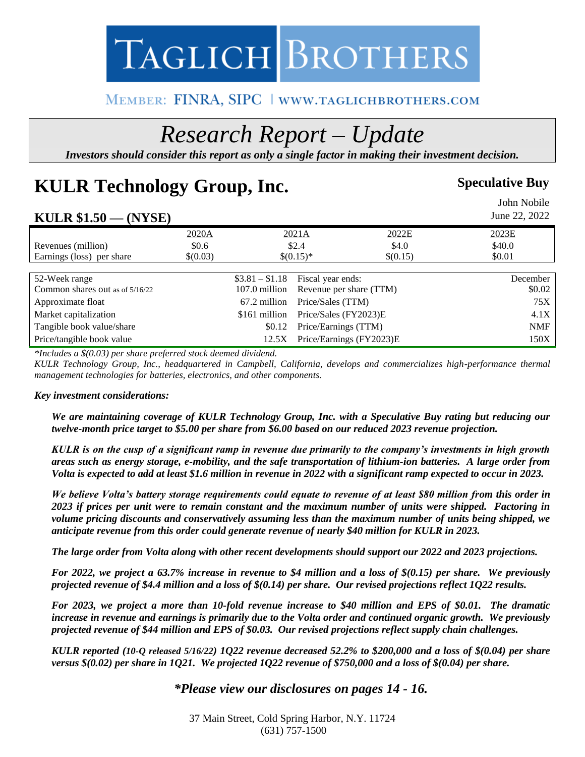# TAGLICH BROTHERS

### MEMBER: FINRA, SIPC | WWW.TAGLICHBROTHERS.COM

## *Research Report – Update*

*Investors should consider this report as only a single factor in making their investment decision.*

### **KULR Technology Group, Inc. Speculative Buy**

#### John Nobile **KULR \$1.50 — (NYSE)**  June 22, 2022 2020A 2021A 2022E 2023E Revenues (million)  $$0.6$   $$2.4$   $$4.0$   $$40.0$ Earnings (loss) per share  $\{(0.03)\}\$   $\{(0.15)\}^*$   $\{(0.15)\}\$   $\{(0.03)\}$   $\{(0.03)\}$   $\{(0.03)\}$ 52-Week range \$3.81 – \$1.18 Fiscal year ends: December Common shares out as of  $5/16/22$  107.0 million Revenue per share (TTM) \$0.02 Approximate float 67.2 million Price/Sales (TTM) 75X Market capitalization  $$161$  million Price/Sales (FY2023)E 4.1X Tangible book value/share  $$0.12$  Price/Earnings (TTM) NMF Price/tangible book value 12.5X Price/Earnings (FY2023)E 150X

*\*Includes a \$(0.03) per share preferred stock deemed dividend.*

*KULR Technology Group, Inc., headquartered in Campbell, California, develops and commercializes high-performance thermal management technologies for batteries, electronics, and other components.* 

#### *Key investment considerations:*

*We are maintaining coverage of KULR Technology Group, Inc. with a Speculative Buy rating but reducing our twelve-month price target to \$5.00 per share from \$6.00 based on our reduced 2023 revenue projection.* 

*KULR is on the cusp of a significant ramp in revenue due primarily to the company's investments in high growth areas such as energy storage, e-mobility, and the safe transportation of lithium-ion batteries. A large order from Volta is expected to add at least \$1.6 million in revenue in 2022 with a significant ramp expected to occur in 2023.* 

*We believe Volta's battery storage requirements could equate to revenue of at least \$80 million from this order in 2023 if prices per unit were to remain constant and the maximum number of units were shipped. Factoring in volume pricing discounts and conservatively assuming less than the maximum number of units being shipped, we anticipate revenue from this order could generate revenue of nearly \$40 million for KULR in 2023.* 

*The large order from Volta along with other recent developments should support our 2022 and 2023 projections.* 

*For 2022, we project a 63.7% increase in revenue to \$4 million and a loss of \$(0.15) per share. We previously projected revenue of \$4.4 million and a loss of \$(0.14) per share. Our revised projections reflect 1Q22 results.* 

*For 2023, we project a more than 10-fold revenue increase to \$40 million and EPS of \$0.01. The dramatic increase in revenue and earnings is primarily due to the Volta order and continued organic growth. We previously projected revenue of \$44 million and EPS of \$0.03. Our revised projections reflect supply chain challenges.* 

*KULR reported (10-Q released 5/16/22) 1Q22 revenue decreased 52.2% to \$200,000 and a loss of \$(0.04) per share versus \$(0.02) per share in 1Q21. We projected 1Q22 revenue of \$750,000 and a loss of \$(0.04) per share.* 

#### *\*Please view our disclosures on pages 14 - 16.*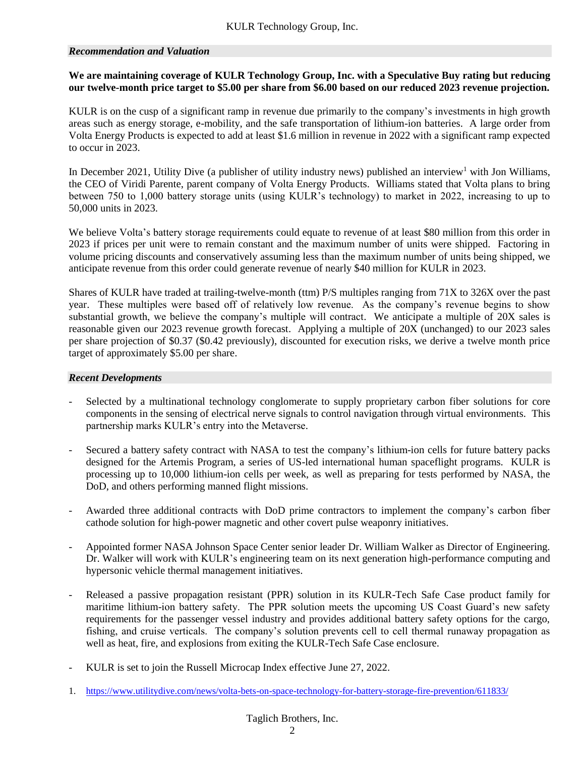#### *Recommendation and Valuation*

#### **We are maintaining coverage of KULR Technology Group, Inc. with a Speculative Buy rating but reducing our twelve-month price target to \$5.00 per share from \$6.00 based on our reduced 2023 revenue projection.**

KULR is on the cusp of a significant ramp in revenue due primarily to the company's investments in high growth areas such as energy storage, e-mobility, and the safe transportation of lithium-ion batteries. A large order from Volta Energy Products is expected to add at least \$1.6 million in revenue in 2022 with a significant ramp expected to occur in 2023.

In December 2021, Utility Dive (a publisher of utility industry news) published an interview<sup>1</sup> with Jon Williams, the CEO of Viridi Parente, parent company of Volta Energy Products. Williams stated that Volta plans to bring between 750 to 1,000 battery storage units (using KULR's technology) to market in 2022, increasing to up to 50,000 units in 2023.

We believe Volta's battery storage requirements could equate to revenue of at least \$80 million from this order in 2023 if prices per unit were to remain constant and the maximum number of units were shipped. Factoring in volume pricing discounts and conservatively assuming less than the maximum number of units being shipped, we anticipate revenue from this order could generate revenue of nearly \$40 million for KULR in 2023.

Shares of KULR have traded at trailing-twelve-month (ttm) P/S multiples ranging from 71X to 326X over the past year. These multiples were based off of relatively low revenue. As the company's revenue begins to show substantial growth, we believe the company's multiple will contract. We anticipate a multiple of 20X sales is reasonable given our 2023 revenue growth forecast. Applying a multiple of 20X (unchanged) to our 2023 sales per share projection of \$0.37 (\$0.42 previously), discounted for execution risks, we derive a twelve month price target of approximately \$5.00 per share.

#### *Recent Developments*

- Selected by a multinational technology conglomerate to supply proprietary carbon fiber solutions for core components in the sensing of electrical nerve signals to control navigation through virtual environments. This partnership marks KULR's entry into the Metaverse.
- Secured a battery safety contract with NASA to test the company's lithium-ion cells for future battery packs designed for the Artemis Program, a series of US-led international human spaceflight programs. KULR is processing up to 10,000 lithium-ion cells per week, as well as preparing for tests performed by NASA, the DoD, and others performing manned flight missions.
- Awarded three additional contracts with DoD prime contractors to implement the company's carbon fiber cathode solution for high-power magnetic and other covert pulse weaponry initiatives.
- Appointed former NASA Johnson Space Center senior leader Dr. William Walker as Director of Engineering. Dr. Walker will work with KULR's engineering team on its next generation high-performance computing and hypersonic vehicle thermal management initiatives.
- Released a passive propagation resistant (PPR) solution in its KULR-Tech Safe Case product family for maritime lithium-ion battery safety. The PPR solution meets the upcoming US Coast Guard's new safety requirements for the passenger vessel industry and provides additional battery safety options for the cargo, fishing, and cruise verticals. The company's solution prevents cell to cell thermal runaway propagation as well as heat, fire, and explosions from exiting the KULR-Tech Safe Case enclosure.
- KULR is set to join the Russell Microcap Index effective June 27, 2022.
- 1. <https://www.utilitydive.com/news/volta-bets-on-space-technology-for-battery-storage-fire-prevention/611833/>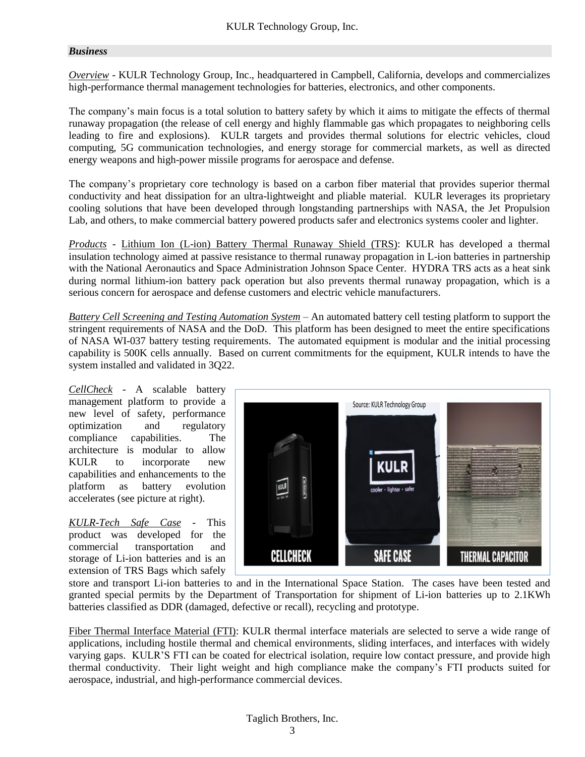#### *Business*

*Overview -* KULR Technology Group, Inc., headquartered in Campbell, California, develops and commercializes high-performance thermal management technologies for batteries, electronics, and other components.

The company's main focus is a total solution to battery safety by which it aims to mitigate the effects of thermal runaway propagation (the release of cell energy and highly flammable gas which propagates to neighboring cells leading to fire and explosions). KULR targets and provides thermal solutions for electric vehicles, cloud computing, 5G communication technologies, and energy storage for commercial markets, as well as directed energy weapons and high-power missile programs for aerospace and defense.

The company's proprietary core technology is based on a carbon fiber material that provides superior thermal conductivity and heat dissipation for an ultra-lightweight and pliable material. KULR leverages its proprietary cooling solutions that have been developed through longstanding partnerships with NASA, the Jet Propulsion Lab, and others, to make commercial battery powered products safer and electronics systems cooler and lighter.

*Products -* Lithium Ion (L-ion) Battery Thermal Runaway Shield (TRS): KULR has developed a thermal insulation technology aimed at passive resistance to thermal runaway propagation in L-ion batteries in partnership with the National Aeronautics and Space Administration Johnson Space Center. HYDRA TRS acts as a heat sink during normal lithium-ion battery pack operation but also prevents thermal runaway propagation, which is a serious concern for aerospace and defense customers and electric vehicle manufacturers.

*Battery Cell Screening and Testing Automation System* – An automated battery cell testing platform to support the stringent requirements of NASA and the DoD. This platform has been designed to meet the entire specifications of NASA WI-037 battery testing requirements. The automated equipment is modular and the initial processing capability is 500K cells annually. Based on current commitments for the equipment, KULR intends to have the system installed and validated in 3Q22.

*CellCheck* - A scalable battery management platform to provide a new level of safety, performance optimization and regulatory compliance capabilities. The architecture is modular to allow KULR to incorporate new capabilities and enhancements to the platform as battery evolution accelerates (see picture at right).

*KULR-Tech Safe Case* - This product was developed for the commercial transportation and storage of Li-ion batteries and is an extension of TRS Bags which safely



store and transport Li-ion batteries to and in the International Space Station. The cases have been tested and granted special permits by the Department of Transportation for shipment of Li-ion batteries up to 2.1KWh batteries classified as DDR (damaged, defective or recall), recycling and prototype.

Fiber Thermal Interface Material (FTI): KULR thermal interface materials are selected to serve a wide range of applications, including hostile thermal and chemical environments, sliding interfaces, and interfaces with widely varying gaps. KULR'S FTI can be coated for electrical isolation, require low contact pressure, and provide high thermal conductivity. Their light weight and high compliance make the company's FTI products suited for aerospace, industrial, and high-performance commercial devices.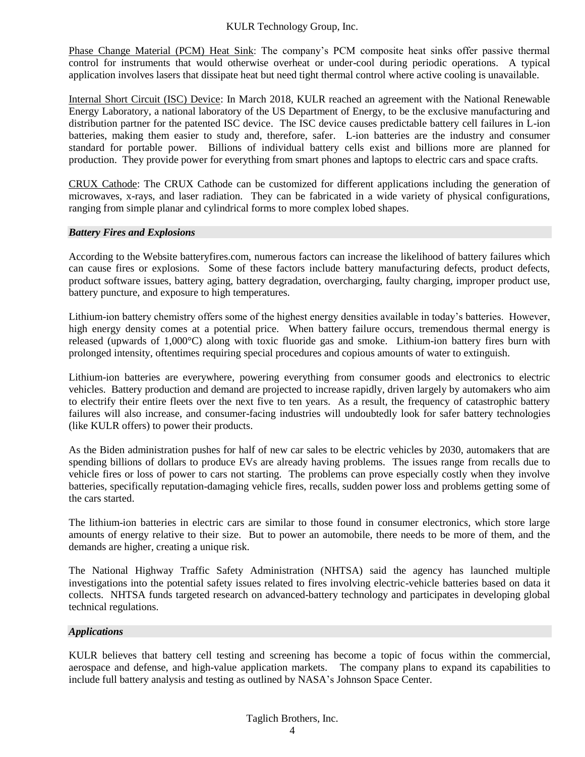Phase Change Material (PCM) Heat Sink: The company's PCM composite heat sinks offer passive thermal control for instruments that would otherwise overheat or under-cool during periodic operations. A typical application involves lasers that dissipate heat but need tight thermal control where active cooling is unavailable.

Internal Short Circuit (ISC) Device: In March 2018, KULR reached an agreement with the National Renewable Energy Laboratory, a national laboratory of the US Department of Energy, to be the exclusive manufacturing and distribution partner for the patented ISC device. The ISC device causes predictable battery cell failures in L-ion batteries, making them easier to study and, therefore, safer. L-ion batteries are the industry and consumer standard for portable power. Billions of individual battery cells exist and billions more are planned for production. They provide power for everything from smart phones and laptops to electric cars and space crafts.

CRUX Cathode: The CRUX Cathode can be customized for different applications including the generation of microwaves, x-rays, and laser radiation. They can be fabricated in a wide variety of physical configurations, ranging from simple planar and cylindrical forms to more complex lobed shapes.

#### *Battery Fires and Explosions*

According to the Website batteryfires.com, numerous factors can increase the likelihood of battery failures which can cause fires or explosions. Some of these factors include battery manufacturing defects, product defects, product software issues, battery aging, battery degradation, overcharging, faulty charging, improper product use, battery puncture, and exposure to high temperatures.

Lithium-ion battery chemistry offers some of the highest energy densities available in today's batteries. However, high energy density comes at a potential price. When battery failure occurs, tremendous thermal energy is released (upwards of 1,000°C) along with toxic fluoride gas and smoke. Lithium-ion battery fires burn with prolonged intensity, oftentimes requiring special procedures and copious amounts of water to extinguish.

Lithium-ion batteries are everywhere, powering everything from consumer goods and electronics to electric vehicles. Battery production and demand are projected to increase rapidly, driven largely by automakers who aim to electrify their entire fleets over the next five to ten years. As a result, the frequency of catastrophic battery failures will also increase, and consumer-facing industries will undoubtedly look for safer battery technologies (like KULR offers) to power their products.

As the Biden administration pushes for half of new car sales to be electric vehicles by 2030, automakers that are spending billions of dollars to produce EVs are already having problems. The issues range from recalls due to vehicle fires or loss of power to cars not starting. The problems can prove especially costly when they involve batteries, specifically reputation-damaging vehicle fires, recalls, sudden power loss and problems getting some of the cars started.

The lithium-ion batteries in electric cars are similar to those found in consumer electronics, which store large amounts of energy relative to their size. But to power an automobile, there needs to be more of them, and the demands are higher, creating a unique risk.

The National Highway Traffic Safety Administration (NHTSA) said the agency has launched multiple investigations into the potential safety issues related to fires involving electric-vehicle batteries based on data it collects. NHTSA funds targeted research on advanced-battery technology and participates in developing global technical regulations.

#### *Applications*

KULR believes that battery cell testing and screening has become a topic of focus within the commercial, aerospace and defense, and high-value application markets. The company plans to expand its capabilities to include full battery analysis and testing as outlined by NASA's Johnson Space Center.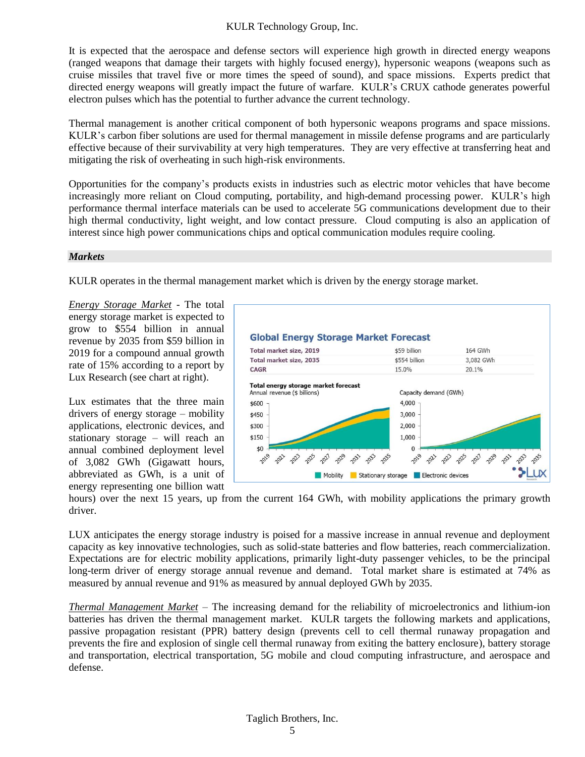It is expected that the aerospace and defense sectors will experience high growth in directed energy weapons (ranged weapons that damage their targets with highly focused energy), hypersonic weapons (weapons such as cruise missiles that travel five or more times the speed of sound), and space missions. Experts predict that directed energy weapons will greatly impact the future of warfare. KULR's CRUX cathode generates powerful electron pulses which has the potential to further advance the current technology.

Thermal management is another critical component of both hypersonic weapons programs and space missions. KULR's carbon fiber solutions are used for thermal management in missile defense programs and are particularly effective because of their survivability at very high temperatures. They are very effective at transferring heat and mitigating the risk of overheating in such high-risk environments.

Opportunities for the company's products exists in industries such as electric motor vehicles that have become increasingly more reliant on Cloud computing, portability, and high-demand processing power. KULR's high performance thermal interface materials can be used to accelerate 5G communications development due to their high thermal conductivity, light weight, and low contact pressure. Cloud computing is also an application of interest since high power communications chips and optical communication modules require cooling.

#### *Markets*

KULR operates in the thermal management market which is driven by the energy storage market.

*Energy Storage Market* - The total energy storage market is expected to grow to \$554 billion in annual revenue by 2035 from \$59 billion in 2019 for a compound annual growth rate of 15% according to a report by Lux Research (see chart at right).

Lux estimates that the three main drivers of energy storage – mobility applications, electronic devices, and stationary storage – will reach an annual combined deployment level of 3,082 GWh (Gigawatt hours, abbreviated as GWh, is a unit of energy representing one billion watt



hours) over the next 15 years, up from the current 164 GWh, with mobility applications the primary growth driver.

LUX anticipates the energy storage industry is poised for a massive increase in annual revenue and deployment capacity as key innovative technologies, such as solid-state batteries and flow batteries, reach commercialization. Expectations are for electric mobility applications, primarily light-duty passenger vehicles, to be the principal long-term driver of energy storage annual revenue and demand. Total market share is estimated at 74% as measured by annual revenue and 91% as measured by annual deployed GWh by 2035.

*Thermal Management Market* – The increasing demand for the reliability of microelectronics and lithium-ion batteries has driven the thermal management market. KULR targets the following markets and applications, passive propagation resistant (PPR) battery design (prevents cell to cell thermal runaway propagation and prevents the fire and explosion of single cell thermal runaway from exiting the battery enclosure), battery storage and transportation, electrical transportation, 5G mobile and cloud computing infrastructure, and aerospace and defense.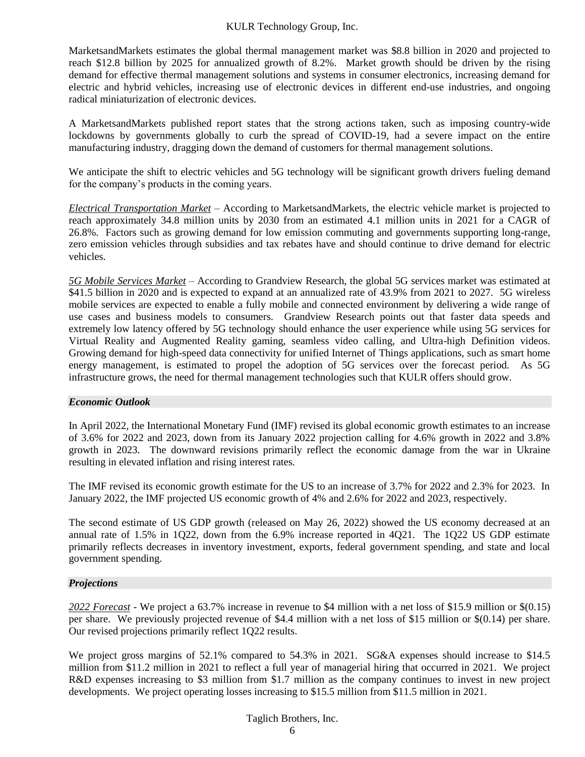MarketsandMarkets estimates the global thermal management market was \$8.8 billion in 2020 and projected to reach \$12.8 billion by 2025 for annualized growth of 8.2%. Market growth should be driven by the rising demand for effective thermal management solutions and systems in consumer electronics, increasing demand for electric and hybrid vehicles, increasing use of electronic devices in different end-use industries, and ongoing radical miniaturization of electronic devices.

A MarketsandMarkets published report states that the strong actions taken, such as imposing country-wide lockdowns by governments globally to curb the spread of COVID-19, had a severe impact on the entire manufacturing industry, dragging down the demand of customers for thermal management solutions.

We anticipate the shift to electric vehicles and 5G technology will be significant growth drivers fueling demand for the company's products in the coming years.

*Electrical Transportation Market* – According to MarketsandMarkets, the electric vehicle market is projected to reach approximately 34.8 million units by 2030 from an estimated 4.1 million units in 2021 for a CAGR of 26.8%. Factors such as growing demand for low emission commuting and governments supporting long-range, zero emission vehicles through subsidies and tax rebates have and should continue to drive demand for electric vehicles.

*5G Mobile Services Market* – According to Grandview Research, the global 5G services market was estimated at \$41.5 billion in 2020 and is expected to expand at an annualized rate of 43.9% from 2021 to 2027. 5G wireless mobile services are expected to enable a fully mobile and connected environment by delivering a wide range of use cases and business models to consumers. Grandview Research points out that faster data speeds and extremely low latency offered by 5G technology should enhance the user experience while using 5G services for Virtual Reality and Augmented Reality gaming, seamless video calling, and Ultra-high Definition videos. Growing demand for high-speed data connectivity for unified Internet of Things applications, such as smart home energy management, is estimated to propel the adoption of 5G services over the forecast period. As 5G infrastructure grows, the need for thermal management technologies such that KULR offers should grow.

#### *Economic Outlook*

In April 2022, the International Monetary Fund (IMF) revised its global economic growth estimates to an increase of 3.6% for 2022 and 2023, down from its January 2022 projection calling for 4.6% growth in 2022 and 3.8% growth in 2023. The downward revisions primarily reflect the economic damage from the war in Ukraine resulting in elevated inflation and rising interest rates.

The IMF revised its economic growth estimate for the US to an increase of 3.7% for 2022 and 2.3% for 2023. In January 2022, the IMF projected US economic growth of 4% and 2.6% for 2022 and 2023, respectively.

The second estimate of US GDP growth (released on May 26, 2022) showed the US economy decreased at an annual rate of 1.5% in 1Q22, down from the 6.9% increase reported in 4Q21. The 1Q22 US GDP estimate primarily reflects decreases in inventory investment, exports, federal government spending, and state and local government spending.

#### *Projections*

*2022 Forecast* - We project a 63.7% increase in revenue to \$4 million with a net loss of \$15.9 million or \$(0.15) per share. We previously projected revenue of \$4.4 million with a net loss of \$15 million or \$(0.14) per share. Our revised projections primarily reflect 1Q22 results.

We project gross margins of 52.1% compared to 54.3% in 2021. SG&A expenses should increase to \$14.5 million from \$11.2 million in 2021 to reflect a full year of managerial hiring that occurred in 2021. We project R&D expenses increasing to \$3 million from \$1.7 million as the company continues to invest in new project developments. We project operating losses increasing to \$15.5 million from \$11.5 million in 2021.

#### Taglich Brothers, Inc.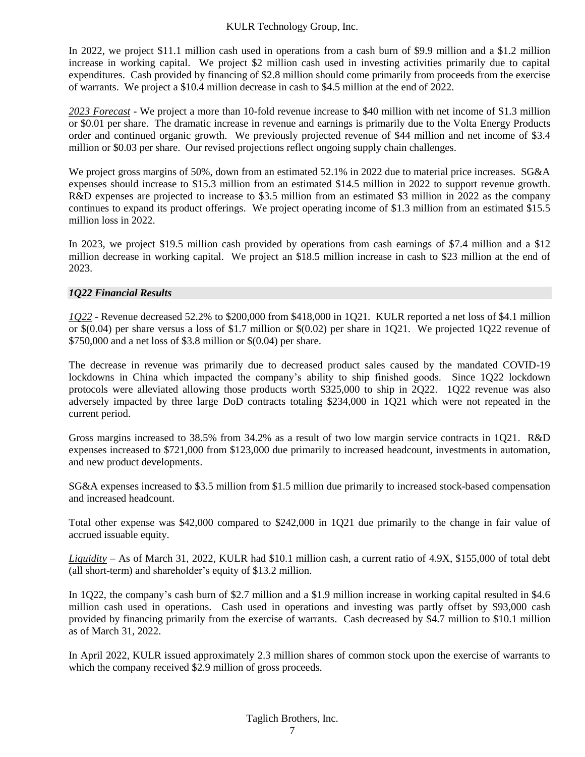In 2022, we project \$11.1 million cash used in operations from a cash burn of \$9.9 million and a \$1.2 million increase in working capital. We project \$2 million cash used in investing activities primarily due to capital expenditures. Cash provided by financing of \$2.8 million should come primarily from proceeds from the exercise of warrants. We project a \$10.4 million decrease in cash to \$4.5 million at the end of 2022.

*2023 Forecast* - We project a more than 10-fold revenue increase to \$40 million with net income of \$1.3 million or \$0.01 per share. The dramatic increase in revenue and earnings is primarily due to the Volta Energy Products order and continued organic growth. We previously projected revenue of \$44 million and net income of \$3.4 million or \$0.03 per share. Our revised projections reflect ongoing supply chain challenges.

We project gross margins of 50%, down from an estimated 52.1% in 2022 due to material price increases. SG&A expenses should increase to \$15.3 million from an estimated \$14.5 million in 2022 to support revenue growth. R&D expenses are projected to increase to \$3.5 million from an estimated \$3 million in 2022 as the company continues to expand its product offerings. We project operating income of \$1.3 million from an estimated \$15.5 million loss in 2022.

In 2023, we project \$19.5 million cash provided by operations from cash earnings of \$7.4 million and a \$12 million decrease in working capital. We project an \$18.5 million increase in cash to \$23 million at the end of 2023.

#### *1Q22 Financial Results*

*1Q22* - Revenue decreased 52.2% to \$200,000 from \$418,000 in 1Q21. KULR reported a net loss of \$4.1 million or \$(0.04) per share versus a loss of \$1.7 million or \$(0.02) per share in 1Q21. We projected 1Q22 revenue of \$750,000 and a net loss of \$3.8 million or \$(0.04) per share.

The decrease in revenue was primarily due to decreased product sales caused by the mandated COVID-19 lockdowns in China which impacted the company's ability to ship finished goods. Since 1Q22 lockdown protocols were alleviated allowing those products worth \$325,000 to ship in 2Q22. 1Q22 revenue was also adversely impacted by three large DoD contracts totaling \$234,000 in 1Q21 which were not repeated in the current period.

Gross margins increased to 38.5% from 34.2% as a result of two low margin service contracts in 1Q21. R&D expenses increased to \$721,000 from \$123,000 due primarily to increased headcount, investments in automation, and new product developments.

SG&A expenses increased to \$3.5 million from \$1.5 million due primarily to increased stock-based compensation and increased headcount.

Total other expense was \$42,000 compared to \$242,000 in 1Q21 due primarily to the change in fair value of accrued issuable equity.

*Liquidity* – As of March 31, 2022, KULR had \$10.1 million cash, a current ratio of 4.9X, \$155,000 of total debt (all short-term) and shareholder's equity of \$13.2 million.

In 1Q22, the company's cash burn of \$2.7 million and a \$1.9 million increase in working capital resulted in \$4.6 million cash used in operations. Cash used in operations and investing was partly offset by \$93,000 cash provided by financing primarily from the exercise of warrants. Cash decreased by \$4.7 million to \$10.1 million as of March 31, 2022.

In April 2022, KULR issued approximately 2.3 million shares of common stock upon the exercise of warrants to which the company received \$2.9 million of gross proceeds.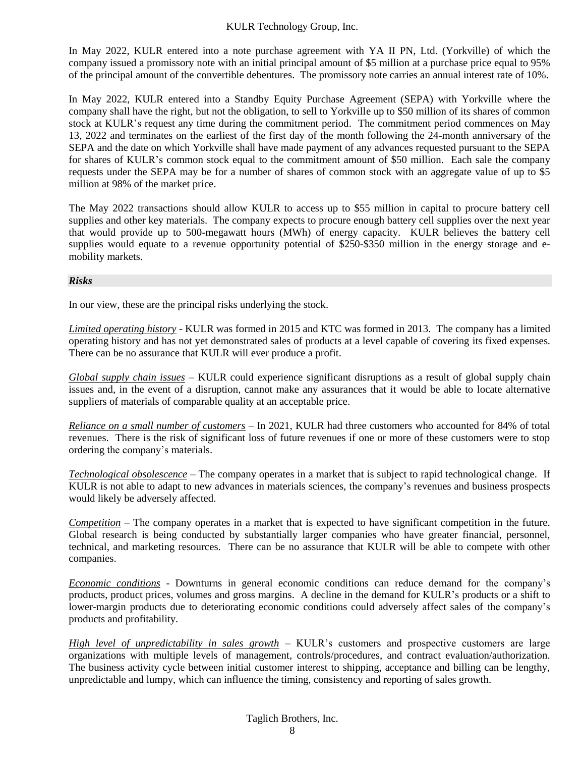In May 2022, KULR entered into a note purchase agreement with YA II PN, Ltd. (Yorkville) of which the company issued a promissory note with an initial principal amount of \$5 million at a purchase price equal to 95% of the principal amount of the convertible debentures. The promissory note carries an annual interest rate of 10%.

In May 2022, KULR entered into a Standby Equity Purchase Agreement (SEPA) with Yorkville where the company shall have the right, but not the obligation, to sell to Yorkville up to \$50 million of its shares of common stock at KULR's request any time during the commitment period. The commitment period commences on May 13, 2022 and terminates on the earliest of the first day of the month following the 24-month anniversary of the SEPA and the date on which Yorkville shall have made payment of any advances requested pursuant to the SEPA for shares of KULR's common stock equal to the commitment amount of \$50 million. Each sale the company requests under the SEPA may be for a number of shares of common stock with an aggregate value of up to \$5 million at 98% of the market price.

The May 2022 transactions should allow KULR to access up to \$55 million in capital to procure battery cell supplies and other key materials. The company expects to procure enough battery cell supplies over the next year that would provide up to 500-megawatt hours (MWh) of energy capacity. KULR believes the battery cell supplies would equate to a revenue opportunity potential of \$250-\$350 million in the energy storage and emobility markets.

#### *Risks*

In our view, these are the principal risks underlying the stock.

*Limited operating history* - KULR was formed in 2015 and KTC was formed in 2013. The company has a limited operating history and has not yet demonstrated sales of products at a level capable of covering its fixed expenses. There can be no assurance that KULR will ever produce a profit.

*Global supply chain issues* – KULR could experience significant disruptions as a result of global supply chain issues and, in the event of a disruption, cannot make any assurances that it would be able to locate alternative suppliers of materials of comparable quality at an acceptable price.

*Reliance on a small number of customers* – In 2021, KULR had three customers who accounted for 84% of total revenues. There is the risk of significant loss of future revenues if one or more of these customers were to stop ordering the company's materials.

*Technological obsolescence* – The company operates in a market that is subject to rapid technological change. If KULR is not able to adapt to new advances in materials sciences, the company's revenues and business prospects would likely be adversely affected.

*Competition* – The company operates in a market that is expected to have significant competition in the future. Global research is being conducted by substantially larger companies who have greater financial, personnel, technical, and marketing resources. There can be no assurance that KULR will be able to compete with other companies.

*Economic conditions* - Downturns in general economic conditions can reduce demand for the company's products, product prices, volumes and gross margins. A decline in the demand for KULR's products or a shift to lower-margin products due to deteriorating economic conditions could adversely affect sales of the company's products and profitability.

*High level of unpredictability in sales growth* – KULR's customers and prospective customers are large organizations with multiple levels of management, controls/procedures, and contract evaluation/authorization. The business activity cycle between initial customer interest to shipping, acceptance and billing can be lengthy, unpredictable and lumpy, which can influence the timing, consistency and reporting of sales growth.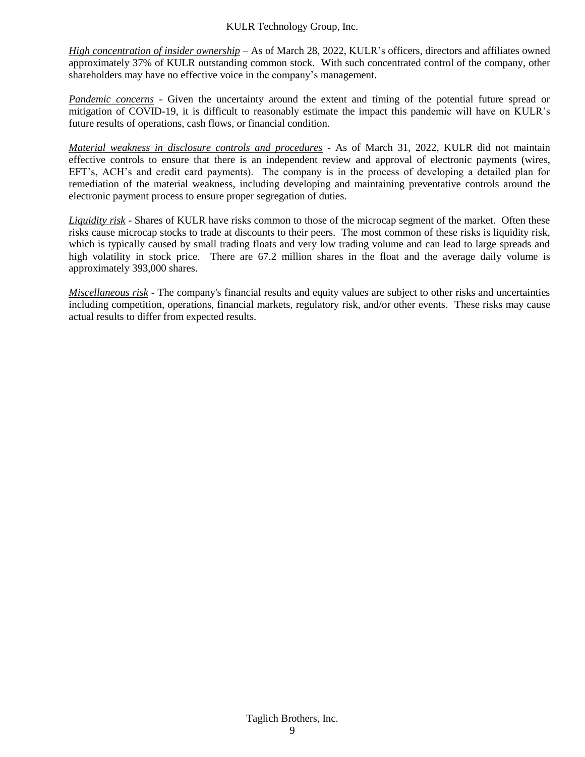*High concentration of insider ownership* – As of March 28, 2022, KULR's officers, directors and affiliates owned approximately 37% of KULR outstanding common stock. With such concentrated control of the company, other shareholders may have no effective voice in the company's management.

*Pandemic concerns* - Given the uncertainty around the extent and timing of the potential future spread or mitigation of COVID-19, it is difficult to reasonably estimate the impact this pandemic will have on KULR's future results of operations, cash flows, or financial condition.

*Material weakness in disclosure controls and procedures* - As of March 31, 2022, KULR did not maintain effective controls to ensure that there is an independent review and approval of electronic payments (wires, EFT's, ACH's and credit card payments). The company is in the process of developing a detailed plan for remediation of the material weakness, including developing and maintaining preventative controls around the electronic payment process to ensure proper segregation of duties.

*Liquidity risk* - Shares of KULR have risks common to those of the microcap segment of the market. Often these risks cause microcap stocks to trade at discounts to their peers. The most common of these risks is liquidity risk, which is typically caused by small trading floats and very low trading volume and can lead to large spreads and high volatility in stock price. There are 67.2 million shares in the float and the average daily volume is approximately 393,000 shares.

*Miscellaneous risk* - The company's financial results and equity values are subject to other risks and uncertainties including competition, operations, financial markets, regulatory risk, and/or other events. These risks may cause actual results to differ from expected results.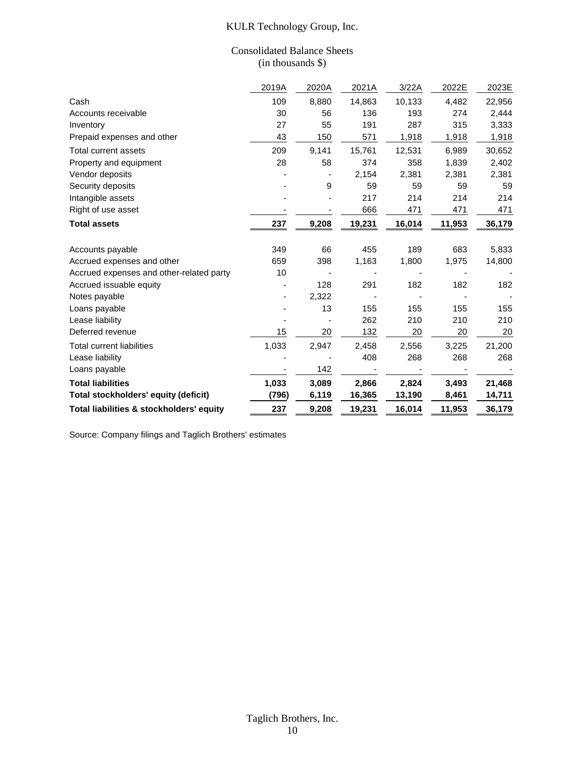#### Consolidated Balance Sheets (in thousands \$)

|                                          | 2019A | 2020A | 2021A  | 3/22A  | 2022E  | 2023E  |
|------------------------------------------|-------|-------|--------|--------|--------|--------|
| Cash                                     | 109   | 8,880 | 14,863 | 10,133 | 4,482  | 22,956 |
| Accounts receivable                      | 30    | 56    | 136    | 193    | 274    | 2,444  |
| Inventory                                | 27    | 55    | 191    | 287    | 315    | 3,333  |
| Prepaid expenses and other               | 43    | 150   | 571    | 1,918  | 1,918  | 1,918  |
| Total current assets                     | 209   | 9,141 | 15,761 | 12,531 | 6,989  | 30,652 |
| Property and equipment                   | 28    | 58    | 374    | 358    | 1,839  | 2,402  |
| Vendor deposits                          |       |       | 2,154  | 2,381  | 2,381  | 2,381  |
| Security deposits                        |       | 9     | 59     | 59     | 59     | 59     |
| Intangible assets                        |       |       | 217    | 214    | 214    | 214    |
| Right of use asset                       |       |       | 666    | 471    | 471    | 471    |
| <b>Total assets</b>                      | 237   | 9,208 | 19,231 | 16,014 | 11,953 | 36,179 |
| Accounts payable                         | 349   | 66    | 455    | 189    | 683    | 5,833  |
| Accrued expenses and other               | 659   | 398   | 1,163  | 1,800  | 1,975  | 14,800 |
| Accrued expenses and other-related party | 10    |       |        |        |        |        |
| Accrued issuable equity                  |       | 128   | 291    | 182    | 182    | 182    |
| Notes payable                            |       | 2,322 |        |        |        |        |
| Loans payable                            |       | 13    | 155    | 155    | 155    | 155    |
| Lease liability                          |       |       | 262    | 210    | 210    | 210    |
| Deferred revenue                         | 15    | 20    | 132    | 20     | 20     | 20     |
| <b>Total current liabilities</b>         | 1,033 | 2,947 | 2,458  | 2,556  | 3,225  | 21,200 |
| Lease liability                          |       |       | 408    | 268    | 268    | 268    |
| Loans payable                            |       | 142   |        |        |        |        |
| <b>Total liabilities</b>                 | 1,033 | 3,089 | 2,866  | 2,824  | 3,493  | 21,468 |
| Total stockholders' equity (deficit)     | (796) | 6,119 | 16,365 | 13,190 | 8,461  | 14,711 |
| Total liabilities & stockholders' equity | 237   | 9,208 | 19,231 | 16,014 | 11,953 | 36,179 |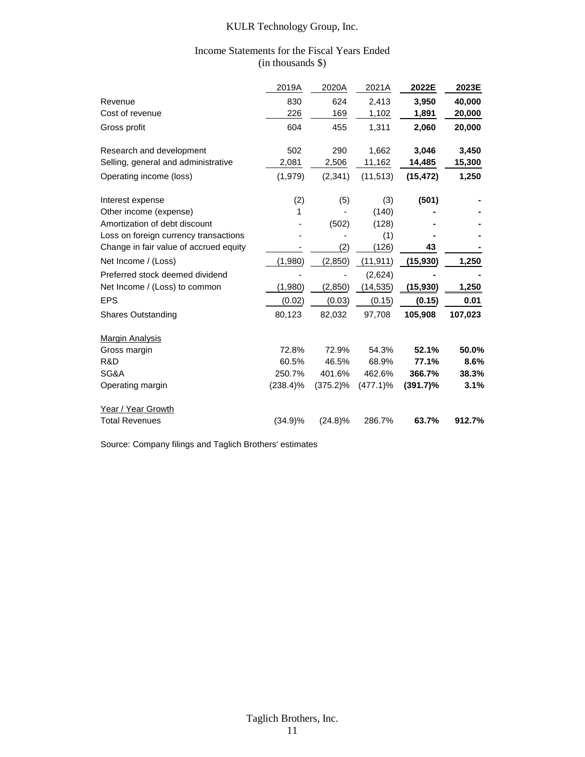#### Income Statements for the Fiscal Years Ended (in thousands \$)

|                                        | 2019A       | 2020A       | 2021A       | 2022E       | 2023E   |
|----------------------------------------|-------------|-------------|-------------|-------------|---------|
| Revenue                                | 830         | 624         | 2,413       | 3,950       | 40,000  |
| Cost of revenue                        | 226         | 169         | 1,102       | 1,891       | 20,000  |
| Gross profit                           | 604         | 455         | 1,311       | 2,060       | 20,000  |
| Research and development               | 502         | 290         | 1.662       | 3,046       | 3,450   |
| Selling, general and administrative    | 2,081       | 2,506       | 11,162      | 14,485      | 15,300  |
| Operating income (loss)                | (1,979)     | (2,341)     | (11, 513)   | (15, 472)   | 1,250   |
| Interest expense                       | (2)         | (5)         | (3)         | (501)       |         |
| Other income (expense)                 | 1           |             | (140)       |             |         |
| Amortization of debt discount          |             | (502)       | (128)       |             |         |
| Loss on foreign currency transactions  |             |             | (1)         |             |         |
| Change in fair value of accrued equity |             | (2)         | (126)       | 43          |         |
| Net Income / (Loss)                    | (1,980)     | (2,850)     | (11, 911)   | (15, 930)   | 1,250   |
| Preferred stock deemed dividend        |             |             | (2,624)     |             |         |
| Net Income / (Loss) to common          | (1,980)     | (2,850)     | (14, 535)   | (15, 930)   | 1,250   |
| EPS                                    | (0.02)      | (0.03)      | (0.15)      | (0.15)      | 0.01    |
| <b>Shares Outstanding</b>              | 80,123      | 82,032      | 97,708      | 105,908     | 107,023 |
| <b>Margin Analysis</b>                 |             |             |             |             |         |
| Gross margin                           | 72.8%       | 72.9%       | 54.3%       | 52.1%       | 50.0%   |
| R&D                                    | 60.5%       | 46.5%       | 68.9%       | 77.1%       | 8.6%    |
| SG&A                                   | 250.7%      | 401.6%      | 462.6%      | 366.7%      | 38.3%   |
| Operating margin                       | $(238.4)\%$ | $(375.2)\%$ | $(477.1)\%$ | $(391.7)\%$ | 3.1%    |
| Year / Year Growth                     |             |             |             |             |         |
| <b>Total Revenues</b>                  | (34.9)%     | $(24.8)\%$  | 286.7%      | 63.7%       | 912.7%  |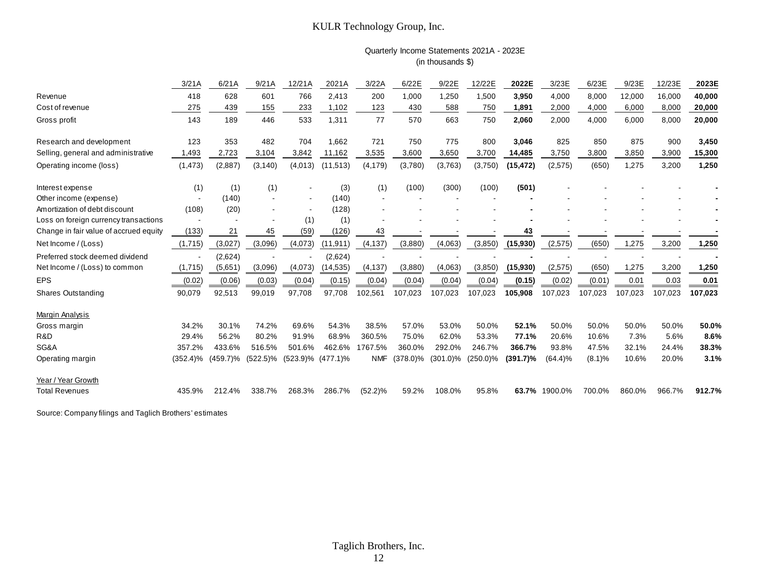Quarterly Income Statements 2021A - 2023E (in thousands \$)

|                                        | (in thousands \$) |             |             |          |             |            |             |             |             |             |            |           |         |         |         |
|----------------------------------------|-------------------|-------------|-------------|----------|-------------|------------|-------------|-------------|-------------|-------------|------------|-----------|---------|---------|---------|
|                                        | 3/21A             | 6/21A       | 9/21A       | 12/21A   | 2021A       | 3/22A      | 6/22E       | 9/22E       | 12/22E      | 2022E       | 3/23E      | 6/23E     | 9/23E   | 12/23E  | 2023E   |
| Revenue                                | 418               | 628         | 601         | 766      | 2,413       | 200        | 1,000       | 1,250       | 1,500       | 3,950       | 4,000      | 8,000     | 12,000  | 16,000  | 40,000  |
| Cost of revenue                        | 275               | 439         | 155         | 233      | 1,102       | 123        | 430         | 588         | 750         | 1,891       | 2,000      | 4,000     | 6,000   | 8,000   | 20,000  |
| Gross profit                           | 143               | 189         | 446         | 533      | 1,311       | 77         | 570         | 663         | 750         | 2,060       | 2,000      | 4,000     | 6,000   | 8,000   | 20,000  |
| Research and development               | 123               | 353         | 482         | 704      | 1,662       | 721        | 750         | 775         | 800         | 3,046       | 825        | 850       | 875     | 900     | 3,450   |
| Selling, general and administrative    | 1,493             | 2,723       | 3,104       | 3,842    | 11,162      | 3,535      | 3,600       | 3,650       | 3,700       | 14,485      | 3,750      | 3,800     | 3,850   | 3,900   | 15,300  |
| Operating income (loss)                | (1, 473)          | (2,887)     | (3, 140)    | (4,013)  | (11, 513)   | (4, 179)   | (3,780)     | (3,763)     | (3,750)     | (15, 472)   | (2,575)    | (650)     | 1,275   | 3,200   | 1,250   |
| Interest expense                       | (1)               | (1)         | (1)         |          | (3)         | (1)        | (100)       | (300)       | (100)       | (501)       |            |           |         |         |         |
| Other income (expense)                 |                   | (140)       |             |          | (140)       |            |             |             |             |             |            |           |         |         |         |
| Amortization of debt discount          | (108)             | (20)        |             |          | (128)       |            |             |             |             |             |            |           |         |         |         |
| Loss on foreign currency transactions  |                   |             |             | (1)      | (1)         |            |             |             |             |             |            |           |         |         |         |
| Change in fair value of accrued equity | (133)             | 21          | 45          | (59)     | (126)       | 43         |             |             |             | 43          |            |           |         |         |         |
| Net Income / (Loss)                    | (1,715)           | (3,027)     | (3,096)     | (4,073)  | (11, 911)   | (4, 137)   | (3,880)     | (4,063)     | (3,850)     | (15,930)    | (2,575)    | (650)     | 1,275   | 3,200   | 1,250   |
| Preferred stock deemed dividend        |                   | (2,624)     |             |          | (2,624)     |            |             |             |             |             |            |           |         |         |         |
| Net Income / (Loss) to common          | (1,715)           | (5,651)     | (3,096)     | (4,073)  | (14, 535)   | (4, 137)   | (3,880)     | (4,063)     | (3,850)     | (15, 930)   | (2,575)    | (650)     | 1,275   | 3,200   | 1,250   |
| <b>EPS</b>                             | (0.02)            | (0.06)      | (0.03)      | (0.04)   | (0.15)      | (0.04)     | (0.04)      | (0.04)      | (0.04)      | (0.15)      | (0.02)     | (0.01)    | 0.01    | 0.03    | 0.01    |
| Shares Outstanding                     | 90,079            | 92,513      | 99,019      | 97.708   | 97.708      | 102,561    | 107.023     | 107,023     | 107.023     | 105,908     | 107.023    | 107.023   | 107.023 | 107,023 | 107,023 |
| <b>Margin Analysis</b>                 |                   |             |             |          |             |            |             |             |             |             |            |           |         |         |         |
| Gross margin                           | 34.2%             | 30.1%       | 74.2%       | 69.6%    | 54.3%       | 38.5%      | 57.0%       | 53.0%       | 50.0%       | 52.1%       | 50.0%      | 50.0%     | 50.0%   | 50.0%   | 50.0%   |
| R&D                                    | 29.4%             | 56.2%       | 80.2%       | 91.9%    | 68.9%       | 360.5%     | 75.0%       | 62.0%       | 53.3%       | 77.1%       | 20.6%      | 10.6%     | 7.3%    | 5.6%    | 8.6%    |
| SG&A                                   | 357.2%            | 433.6%      | 516.5%      | 501.6%   | 462.6%      | 1767.5%    | 360.0%      | 292.0%      | 246.7%      | 366.7%      | 93.8%      | 47.5%     | 32.1%   | 24.4%   | 38.3%   |
| Operating margin                       | $(352.4)\%$       | $(459.7)\%$ | $(522.5)\%$ | (523.9)% | $(477.1)\%$ | <b>NMF</b> | $(378.0)\%$ | $(301.0)\%$ | $(250.0)\%$ | $(391.7)\%$ | $(64.4)\%$ | $(8.1)\%$ | 10.6%   | 20.0%   | 3.1%    |
| Year / Year Growth                     |                   |             |             |          |             |            |             |             |             |             |            |           |         |         |         |
| <b>Total Revenues</b>                  | 435.9%            | 212.4%      | 338.7%      | 268.3%   | 286.7%      | $(52.2)\%$ | 59.2%       | 108.0%      | 95.8%       | 63.7%       | 1900.0%    | 700.0%    | 860.0%  | 966.7%  | 912.7%  |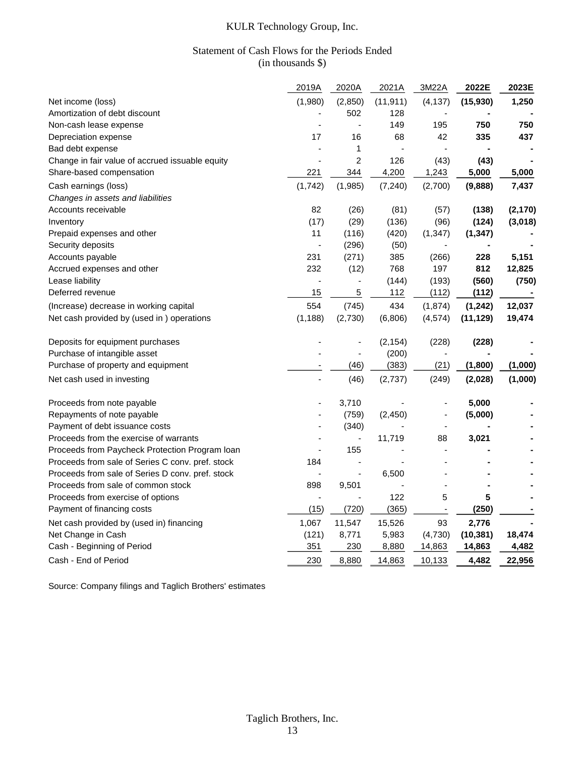#### Statement of Cash Flows for the Periods Ended (in thousands \$)

|                                                  | 2019A                    | 2020A          | 2021A     | 3M22A                    | 2022E     | 2023E    |
|--------------------------------------------------|--------------------------|----------------|-----------|--------------------------|-----------|----------|
| Net income (loss)                                | (1,980)                  | (2,850)        | (11, 911) | (4, 137)                 | (15,930)  | 1,250    |
| Amortization of debt discount                    |                          | 502            | 128       |                          |           |          |
| Non-cash lease expense                           |                          | $\blacksquare$ | 149       | 195                      | 750       | 750      |
| Depreciation expense                             | 17                       | 16             | 68        | 42                       | 335       | 437      |
| Bad debt expense                                 |                          | 1              |           | $\overline{a}$           |           |          |
| Change in fair value of accrued issuable equity  |                          | $\overline{c}$ | 126       | (43)                     | (43)      |          |
| Share-based compensation                         | 221                      | 344            | 4,200     | 1,243                    | 5,000     | 5,000    |
| Cash earnings (loss)                             | (1,742)                  | (1,985)        | (7, 240)  | (2,700)                  | (9,888)   | 7,437    |
| Changes in assets and liabilities                |                          |                |           |                          |           |          |
| Accounts receivable                              | 82                       | (26)           | (81)      | (57)                     | (138)     | (2, 170) |
| Inventory                                        | (17)                     | (29)           | (136)     | (96)                     | (124)     | (3,018)  |
| Prepaid expenses and other                       | 11                       | (116)          | (420)     | (1, 347)                 | (1, 347)  |          |
| Security deposits                                |                          | (296)          | (50)      |                          |           |          |
| Accounts payable                                 | 231                      | (271)          | 385       | (266)                    | 228       | 5,151    |
| Accrued expenses and other                       | 232                      | (12)           | 768       | 197                      | 812       | 12,825   |
| Lease liability                                  |                          |                | (144)     | (193)                    | (560)     | (750)    |
| Deferred revenue                                 | 15                       | 5              | 112       | (112)                    | (112)     |          |
| (Increase) decrease in working capital           | 554                      | (745)          | 434       | (1,874)                  | (1, 242)  | 12,037   |
| Net cash provided by (used in ) operations       | (1, 188)                 | (2,730)        | (6,806)   | (4, 574)                 | (11, 129) | 19,474   |
| Deposits for equipment purchases                 |                          |                | (2, 154)  | (228)                    | (228)     |          |
| Purchase of intangible asset                     |                          |                | (200)     |                          |           |          |
| Purchase of property and equipment               |                          | (46)           | (383)     | (21)                     | (1,800)   | (1,000)  |
| Net cash used in investing                       |                          | (46)           | (2,737)   | (249)                    | (2,028)   | (1,000)  |
| Proceeds from note payable                       |                          | 3,710          |           |                          | 5,000     |          |
| Repayments of note payable                       |                          | (759)          | (2, 450)  | $\overline{a}$           | (5,000)   |          |
| Payment of debt issuance costs                   |                          | (340)          |           |                          |           |          |
| Proceeds from the exercise of warrants           |                          |                | 11,719    | 88                       | 3,021     |          |
| Proceeds from Paycheck Protection Program Ioan   |                          | 155            |           |                          |           |          |
| Proceeds from sale of Series C conv. pref. stock | 184                      |                |           |                          |           |          |
| Proceeds from sale of Series D conv. pref. stock |                          |                | 6,500     |                          |           |          |
| Proceeds from sale of common stock               | 898                      | 9,501          |           | ÷,                       |           |          |
| Proceeds from exercise of options                | $\overline{\phantom{a}}$ |                | 122       | 5                        | 5         |          |
| Payment of financing costs                       | (15)                     | (720)          | (365)     | $\overline{\phantom{a}}$ | (250)     |          |
| Net cash provided by (used in) financing         | 1,067                    | 11,547         | 15,526    | 93                       | 2,776     |          |
| Net Change in Cash                               | (121)                    | 8,771          | 5,983     | (4,730)                  | (10, 381) | 18,474   |
| Cash - Beginning of Period                       | 351                      | 230            | 8,880     | 14,863                   | 14,863    | 4,482    |
| Cash - End of Period                             | 230                      | 8,880          | 14,863    | 10,133                   | 4,482     | 22,956   |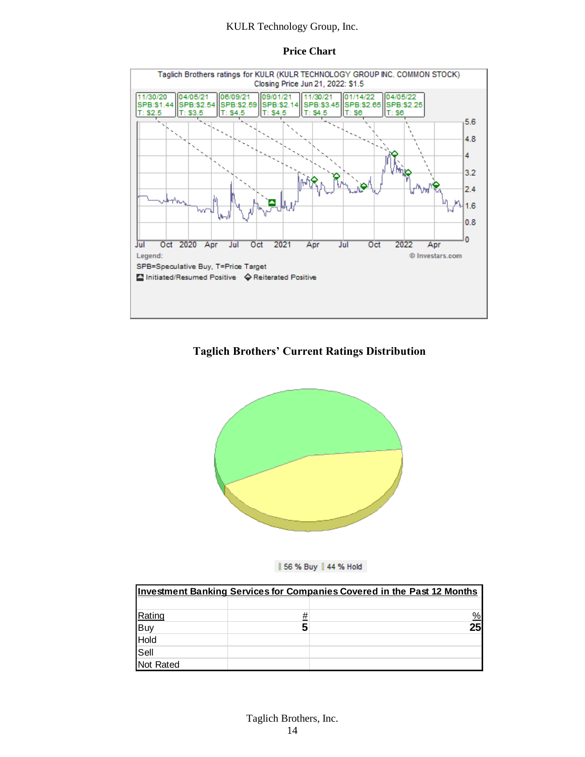#### Taglich Brothers ratings for KULR (KULR TECHNOLOGY GROUP INC. COMMON STOCK) Closing Price Jun 21, 2022: \$1.5 11/30/20 04/05/21<br>SPB:\$1.44 SPB:\$2.54 06/09/21<br>SPB:\$2.59 09/01/21 11/30/21<br>SPB:\$2.14 SPB:\$3.45 01/14/22 04/05/22<br>SPB:\$2.65 SPB:\$2.25  $T: $2.5$  $T: $3.5$  $T: $4.5$ т٠ \$4.5  $T: $4.5$  $T:$  \$6  $T:$  \$6  $5.6$ 4.8 4  $3.2$  $2.4$ A.  $1.6$ ln o 0.8 O Jul Oct 2020 Apr Jul  $\overline{Oct}$ 2021 Apr Jul Oct 2022 Apr  $@$  Investars.com Legend: SPB=Speculative Buy, T=Price Target

#### **Price Chart**

#### **Taglich Brothers' Current Ratings Distribution**





|                       |   | <b>Investment Banking Services for Companies Covered in the Past 12 Months</b> |
|-----------------------|---|--------------------------------------------------------------------------------|
|                       |   |                                                                                |
|                       | # | <u>%</u>                                                                       |
|                       | 5 | 25                                                                             |
| Rating<br>Buy<br>Hold |   |                                                                                |
| Sell                  |   |                                                                                |
| Not Rated             |   |                                                                                |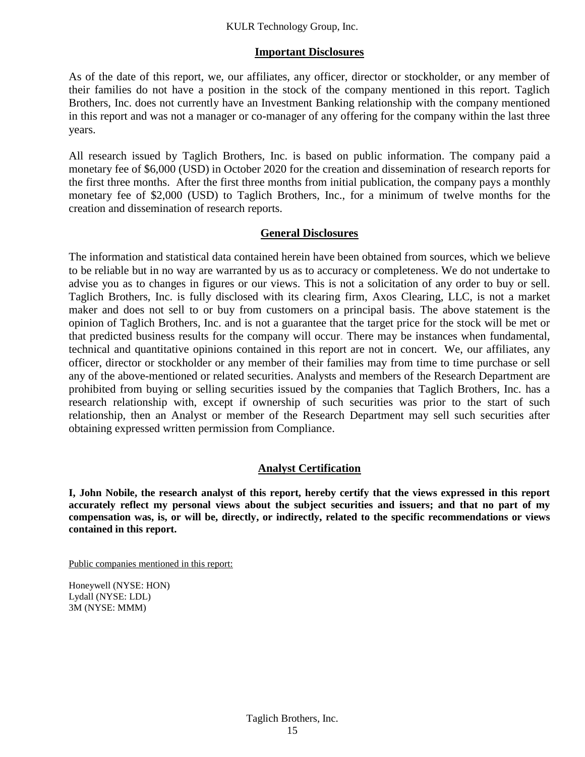#### **Important Disclosures**

As of the date of this report, we, our affiliates, any officer, director or stockholder, or any member of their families do not have a position in the stock of the company mentioned in this report. Taglich Brothers, Inc. does not currently have an Investment Banking relationship with the company mentioned in this report and was not a manager or co-manager of any offering for the company within the last three years.

All research issued by Taglich Brothers, Inc. is based on public information. The company paid a monetary fee of \$6,000 (USD) in October 2020 for the creation and dissemination of research reports for the first three months. After the first three months from initial publication, the company pays a monthly monetary fee of \$2,000 (USD) to Taglich Brothers, Inc., for a minimum of twelve months for the creation and dissemination of research reports.

#### **General Disclosures**

The information and statistical data contained herein have been obtained from sources, which we believe to be reliable but in no way are warranted by us as to accuracy or completeness. We do not undertake to advise you as to changes in figures or our views. This is not a solicitation of any order to buy or sell. Taglich Brothers, Inc. is fully disclosed with its clearing firm, Axos Clearing, LLC, is not a market maker and does not sell to or buy from customers on a principal basis. The above statement is the opinion of Taglich Brothers, Inc. and is not a guarantee that the target price for the stock will be met or that predicted business results for the company will occur. There may be instances when fundamental, technical and quantitative opinions contained in this report are not in concert. We, our affiliates, any officer, director or stockholder or any member of their families may from time to time purchase or sell any of the above-mentioned or related securities. Analysts and members of the Research Department are prohibited from buying or selling securities issued by the companies that Taglich Brothers, Inc. has a research relationship with, except if ownership of such securities was prior to the start of such relationship, then an Analyst or member of the Research Department may sell such securities after obtaining expressed written permission from Compliance.

#### **Analyst Certification**

**I, John Nobile, the research analyst of this report, hereby certify that the views expressed in this report accurately reflect my personal views about the subject securities and issuers; and that no part of my compensation was, is, or will be, directly, or indirectly, related to the specific recommendations or views contained in this report.**

Public companies mentioned in this report:

Honeywell (NYSE: HON) Lydall (NYSE: LDL) 3M (NYSE: MMM)